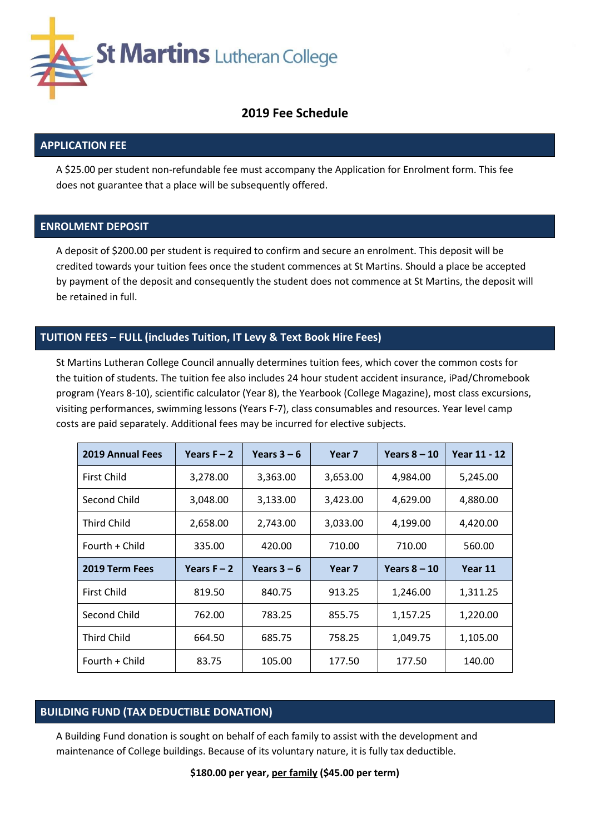

# **2019 Fee Schedule**

### **APPLICATION FEE**

A \$25.00 per student non-refundable fee must accompany the Application for Enrolment form. This fee does not guarantee that a place will be subsequently offered.

### **ENROLMENT DEPOSIT**

A deposit of \$200.00 per student is required to confirm and secure an enrolment. This deposit will be credited towards your tuition fees once the student commences at St Martins. Should a place be accepted by payment of the deposit and consequently the student does not commence at St Martins, the deposit will be retained in full.

### **TUITION FEES – FULL (includes Tuition, IT Levy & Text Book Hire Fees)**

St Martins Lutheran College Council annually determines tuition fees, which cover the common costs for the tuition of students. The tuition fee also includes 24 hour student accident insurance, iPad/Chromebook program (Years 8-10), scientific calculator (Year 8), the Yearbook (College Magazine), most class excursions, visiting performances, swimming lessons (Years F-7), class consumables and resources. Year level camp costs are paid separately. Additional fees may be incurred for elective subjects.

| <b>2019 Annual Fees</b> | Years $F - 2$ | Years $3-6$   | Year 7           | Years $8 - 10$ | Year 11 - 12 |  |
|-------------------------|---------------|---------------|------------------|----------------|--------------|--|
| <b>First Child</b>      | 3,278.00      | 3,363.00      | 3,653.00         | 4,984.00       | 5,245.00     |  |
| Second Child            | 3,048.00      | 3,133.00      | 3,423.00         | 4,629.00       | 4,880.00     |  |
| <b>Third Child</b>      | 2,658.00      | 2,743.00      | 3,033.00         | 4,199.00       | 4,420.00     |  |
| Fourth $+$ Child        | 335.00        | 420.00        | 710.00<br>710.00 |                | 560.00       |  |
| <b>2019 Term Fees</b>   | Years $F - 2$ | Years $3 - 6$ | Year 7           | Years $8 - 10$ | Year 11      |  |
| <b>First Child</b>      | 819.50        | 840.75        | 913.25           | 1,246.00       | 1,311.25     |  |
| Second Child            | 762.00        | 783.25        | 855.75           | 1,157.25       | 1,220.00     |  |
| Third Child             | 664.50        | 685.75        | 758.25           | 1,049.75       | 1,105.00     |  |
| Fourth $+$ Child        | 83.75         | 105.00        | 177.50           | 177.50         | 140.00       |  |

### **BUILDING FUND (TAX DEDUCTIBLE DONATION)**

A Building Fund donation is sought on behalf of each family to assist with the development and maintenance of College buildings. Because of its voluntary nature, it is fully tax deductible.

**\$180.00 per year, per family (\$45.00 per term)**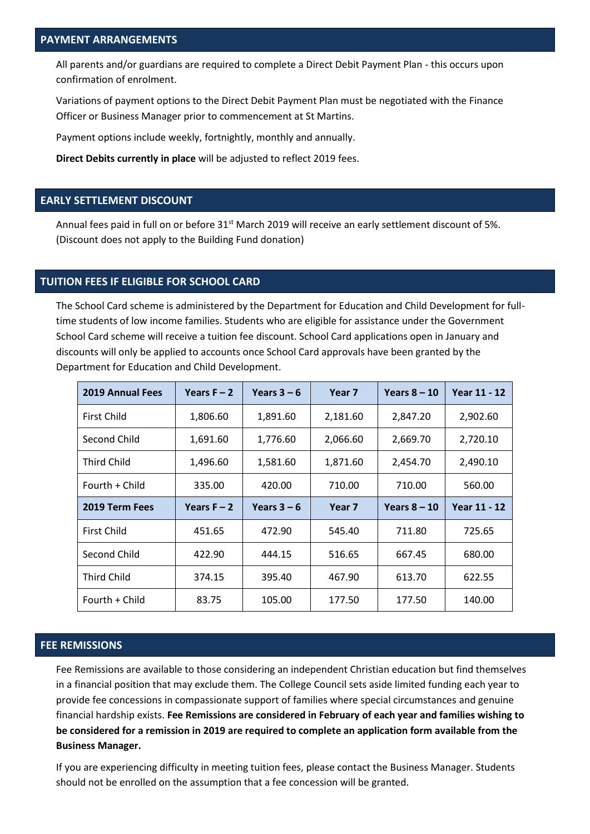#### **PAYMENT ARRANGEMENTS**

All parents and/or guardians are required to complete a Direct Debit Payment Plan - this occurs upon confirmation of enrolment.

Variations of payment options to the Direct Debit Payment Plan must be negotiated with the Finance Officer or Business Manager prior to commencement at St Martins.

Payment options include weekly, fortnightly, monthly and annually.

**Direct Debits currently in place** will be adjusted to reflect 2019 fees.

## **EARLY SETTLEMENT DISCOUNT**

Annual fees paid in full on or before 31<sup>st</sup> March 2019 will receive an early settlement discount of 5%. (Discount does not apply to the Building Fund donation)

#### **TUITION FEES IF ELIGIBLE FOR SCHOOL CARD**

The School Card scheme is administered by the Department for Education and Child Development for fulltime students of low income families. Students who are eligible for assistance under the Government School Card scheme will receive a tuition fee discount. School Card applications open in January and discounts will only be applied to accounts once School Card approvals have been granted by the Department for Education and Child Development.

| <b>2019 Annual Fees</b> | Years $F - 2$ | Years $3 - 6$ | Year 7   | Years $8 - 10$ | Year 11 - 12        |  |
|-------------------------|---------------|---------------|----------|----------------|---------------------|--|
| First Child             | 1,806.60      | 1,891.60      | 2,181.60 | 2,847.20       | 2,902.60            |  |
| Second Child            | 1,691.60      | 1,776.60      | 2,066.60 | 2,669.70       | 2,720.10            |  |
| <b>Third Child</b>      | 1,496.60      | 1,581.60      | 1,871.60 | 2,454.70       | 2,490.10            |  |
| Fourth + Child          | 335.00        | 420.00        | 710.00   | 710.00         | 560.00              |  |
|                         |               |               |          |                |                     |  |
| 2019 Term Fees          | Years $F - 2$ | Years $3 - 6$ | Year 7   | Years $8 - 10$ | <b>Year 11 - 12</b> |  |
| First Child             | 451.65        | 472.90        | 545.40   | 711.80         | 725.65              |  |
| Second Child            | 422.90        | 444.15        | 516.65   | 667.45         | 680.00              |  |
| <b>Third Child</b>      | 374.15        | 395.40        | 467.90   | 613.70         | 622.55              |  |

#### **FEE REMISSIONS**

Fee Remissions are available to those considering an independent Christian education but find themselves in a financial position that may exclude them. The College Council sets aside limited funding each year to provide fee concessions in compassionate support of families where special circumstances and genuine financial hardship exists. **Fee Remissions are considered in February of each year and families wishing to be considered for a remission in 2019 are required to complete an application form available from the Business Manager.**

If you are experiencing difficulty in meeting tuition fees, please contact the Business Manager. Students should not be enrolled on the assumption that a fee concession will be granted.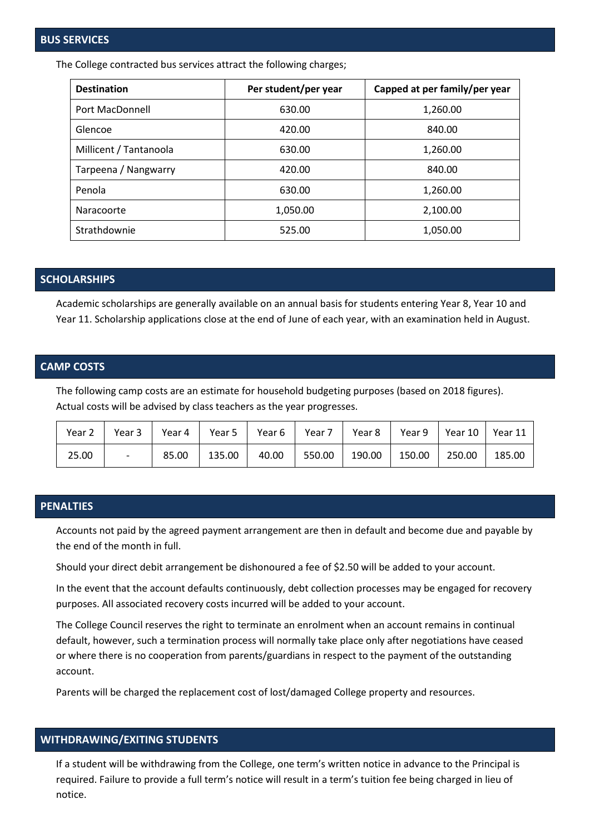The College contracted bus services attract the following charges;

| <b>Destination</b>     | Per student/per year | Capped at per family/per year |  |  |
|------------------------|----------------------|-------------------------------|--|--|
| Port MacDonnell        | 630.00               | 1,260.00                      |  |  |
| Glencoe                | 420.00               | 840.00                        |  |  |
| Millicent / Tantanoola | 630.00               | 1,260.00                      |  |  |
| Tarpeena / Nangwarry   | 420.00               | 840.00                        |  |  |
| Penola                 | 630.00               | 1,260.00                      |  |  |
| Naracoorte             | 1,050.00             | 2,100.00                      |  |  |
| Strathdownie           | 525.00               | 1,050.00                      |  |  |

#### **SCHOLARSHIPS**

Academic scholarships are generally available on an annual basis for students entering Year 8, Year 10 and Year 11. Scholarship applications close at the end of June of each year, with an examination held in August.

## **CAMP COSTS**

The following camp costs are an estimate for household budgeting purposes (based on 2018 figures). Actual costs will be advised by class teachers as the year progresses.

| Year 2 | Year 3                   | Year 4 | Year 5 | Year 6 | Year 7 | Year 8 |        | Year 9   Year 10   Year 11 |        |
|--------|--------------------------|--------|--------|--------|--------|--------|--------|----------------------------|--------|
| 25.00  | $\overline{\phantom{0}}$ | 85.00  | 135.00 | 40.00  | 550.00 | 190.00 | 150.00 | 250.00                     | 185.00 |

## **PENALTIES**

Accounts not paid by the agreed payment arrangement are then in default and become due and payable by the end of the month in full.

Should your direct debit arrangement be dishonoured a fee of \$2.50 will be added to your account.

In the event that the account defaults continuously, debt collection processes may be engaged for recovery purposes. All associated recovery costs incurred will be added to your account.

The College Council reserves the right to terminate an enrolment when an account remains in continual default, however, such a termination process will normally take place only after negotiations have ceased or where there is no cooperation from parents/guardians in respect to the payment of the outstanding account.

Parents will be charged the replacement cost of lost/damaged College property and resources.

### **WITHDRAWING/EXITING STUDENTS**

If a student will be withdrawing from the College, one term's written notice in advance to the Principal is required. Failure to provide a full term's notice will result in a term's tuition fee being charged in lieu of notice.